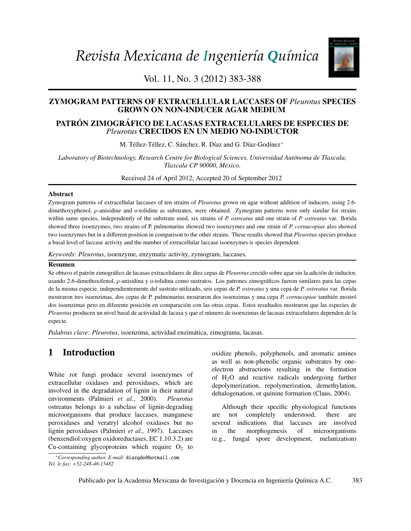*Revista Mexicana de Ingeniería Química*



Vol. 11, No. 3 (2012) 383-388

# **ZYMOGRAM PATTERNS OF EXTRACELLULAR LACCASES OF** *Pleurotus* **SPECIES** GROWN ON NON-INDUCER AGAR MEDIUM

# 213 Derivation and application of the Stefan-Maxwell equations *Pleurotus* CRECIDOS EN UN MEDIO NO-INDUCTOR PATRÓN ZIMOGRÁFICO DE LACASAS EXTRACELULARES DE ESPECIES DE

M. Téllez-Téllez, C. Sánchez, R. Díaz and G. Díaz-Godínez<sup>\*</sup>

*Stephen Whitaker Laboratory of Biotechnology, Research Centre for Biological Sciences, Universidad Aut ´onoma de Tlaxcala, Tlaxcala CP 90000, M´exico.*

*Biotecnología / Biotechnology*  Received 24 of April 2012; Accepted 20 of September 2012

#### 245 Modelado de la biodegradación en biorreactores de lodos de hidrocarburos totales del petróleo Abstract

Zymogram patterns of extracellular laccases of ten strains of *Pleurotus* grown on agar without addition of inducers, using 2.6within same species, independently of the substrate used, six strains of P. ostreatus and one strain of P. ostreatus var. florida and sediments) two isoenzymes but in a different position in comparison to the other strains. These results showed that *Pleurotus* species produce *S.A. Medina-Moreno, S. Huerta-Ochoa, C.A. Lucho-Constantino, L. Aguilera-Vázquez, A. Jiménez-*a basal level of laccase activity and the number of extracellular laccase isoenzymes is species dependent. dimethoxyphenol, ρ-anisidine and o-tolidine as substrates, were obtained. Zymogram patterns were only similar for strains showed three isoenzymes, two strains of P. pulmonarius showed two isoenzymes and one strain of *P. cornucopiae* also showed

*González y M. Gutiérrez-Rojas Keywords*: *Pleurotus*, isoenzyme, enzymatic activity, zymogram, laccases.

#### 259 Crecimiento, sobrevivencia y adaptación de *Bifidobacterium infantis* a condiciones ácidas Resumen

de la microsoftenol, *ρ*-anisidina y o-tolidina como sustratos. Los patrones zimográficos fueron similares para las cepas de la microsoftenol, *ρ*-anisidina y o-tolidina como sustratos. Los patrones zimográficos fueron si de la misma especie, independientemente del sustrato utilizado, seis cepas de P. ostreatus y una cepa de P. ostreatus var. florida mostraron tres isoenzimas, dos cepas de P. pulmonarius mostraron dos isoenzimas y una cepa *P. cornucopiae* también mostró Pleurotus producen un nivel basal de actividad de lacasa y que el número de isoenzimas de lacasas extracelulares dependen de la Se obtuvo el patrón zimográfico de lacasas extracelulares de diez cepas de Pleurotus crecido sobre agar sin la adición de inductor, dos isoenzimas pero en diferente posición en comparación con las otras cepas. Estos resultados mostraron que las especies de especie.

Palabras clave: *Pleurotus*, isoenzima, actividad enzimática, zimograma, lacasas.

# 1 Introduction

extracellular oxidases and peroxidases, which are  $\frac{1}{2}$  involved in the degradation of lignin in their natural  $\frac{1}{2}$  dependention or quining formation (Claus environments (Palmieri *et al.*, 2000). *Pleurotus* microorganisms that produce laccases, manganese are not completely peroxidases and veratryl alcohol oxidases but no White rot fungi produce several isoenzymes of ostreatus belongs to a subclass of lignin-degrading lignin peroxidases (Palmieri *et al.*, 1997). Laccases (benzendiol:oxygen oxidoreductases, EC 1.10.3.2) are Cu-containing glycoproteins which require  $O_2$  to

<span id="page-0-0"></span><sup>∗</sup>*Corresponding author. E-mail*: diazgdo@hotmail.com *Tel.* & *fax:* +*52-248-48-15482*

FIGURE 2. FREED THE TERRA FREED THE TERRA FREED THE TERRA FREED THE TERRA FREED THAT THE TERRA FREED THE TERRA FREED THAT THE TERRA FREED THE TERRA FREED THAT THE TERRA FREED THAT THE TERRA FREED THAT THE TERRA FREED THAT oxidize phenols, polyphenols, and aromatic amines electron abstractions resulting in the formation of  $H_2O$  and reactive radicals undergoing further depolymerization, repolymerization, demethylation, dehalogenation, or quinine formation (Claus, 2004).

> Although their specific physiological functions are not completely understood, there are several indications that laccases are involved in the morphogenesis of microorganisms (e.g., fungal spore development, melanization)

Publicado por la Academia Mexicana de Investigación y Docencia en Ingeniería Química A.C. 383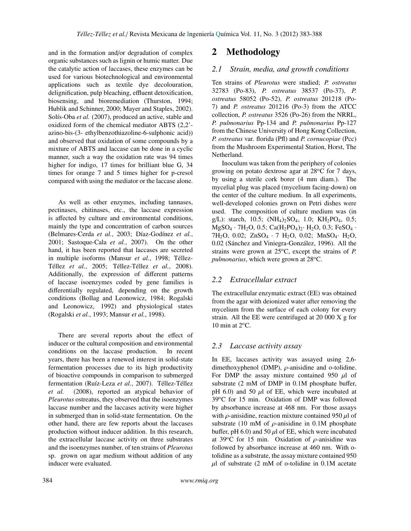and in the formation and/or degradation of complex organic substances such as lignin or humic matter. Due the catalytic action of laccases, these enzymes can be used for various biotechnological and environmental applications such as textile dye decolouration, delignification, pulp bleaching, effluent detoxification, biosensing, and bioremediation (Thurston, 1994; Hublik and Schinner, 2000; Mayer and Staples, 2002). Solís-Oba *et al.* (2007), produced an active, stable and oxidized form of the chemical mediator ABTS (2,2' azino-bis-(3- ethylbenzothiazoline-6-sulphonic acid)) and observed that oxidation of some compounds by a mixture of ABTS and laccase can be done in a cyclic manner, such a way the oxidation rate was 94 times higher for indigo, 17 times for brilliant blue G, 34 times for orange 7 and 5 times higher for p-cresol compared with using the mediator or the laccase alone.

As well as other enzymes, including tannases, pectinases, chitinases, etc., the laccase expression is affected by culture and environmental conditions, mainly the type and concentration of carbon sources (Belmares-Cerda et al., 2003; Díaz-Godínez et al., 2001; Sastoque-Cala *et al.*, 2007). On the other hand, it has been reported that laccases are secreted in multiple isoforms (Mansur *et al.*, 1998; Téllez-Téllez et al., 2005; Téllez-Téllez et al., 2008). Additionally, the expression of different patterns of laccase isoenzymes coded by gene families is differentially regulated, depending on the growth conditions (Bollag and Leonowicz, 1984; Rogalski and Leonowicz, 1992) and physiological states (Rogalski *et al.*, 1993; Mansur *et al.*, 1998).

There are several reports about the effect of inducer or the cultural composition and environmental conditions on the laccase production. In recent years, there has been a renewed interest in solid-state fermentation processes due to its high productivity of bioactive compounds in comparison to submerged fermentation (Ruíz-Leza et al., 2007). Téllez-Téllez *et al.* (2008), reported an atypical behavior of *Pleurotus* ostreatus, they observed that the isoenzymes laccase number and the laccases activity were higher in submerged than in solid-state fermentation. On the other hand, there are few reports about the laccases production without inducer addition. In this research, the extracellular laccase activity on three substrates and the isoenzymes number, of ten strains of *Pleurotus* sp. grown on agar medium without addition of any inducer were evaluated.

# 2 Methodology

### *2.1 Strain, media, and growth conditions*

Ten strains of *Pleurotus* were studied; *P. ostreatus* 32783 (Po-83), *P. ostreatus* 38537 (Po-37), *P. ostreatus* 58052 (Po-52), *P. ostreatus* 201218 (Po-7) and *P. ostreatus* 201216 (Po-3) from the ATCC collection, *P. ostreatus* 3526 (Po-26) from the NRRL, *P. pulmonarius* Pp-134 and *P. pulmonarius* Pp-127 from the Chinese University of Hong Kong Collection, *P. ostreatus* var. florida (Pfl) and *P. cornucopiae* (Pcc) from the Mushroom Experimental Station, Horst, The Netherland.

Inoculum was taken from the periphery of colonies growing on potato dextrose agar at  $28^{\circ}$ C for 7 days, by using a sterile cork borer (4 mm diam.). The mycelial plug was placed (mycelium facing-down) on the center of the culture medium. In all experiments, well-developed colonies grown on Petri dishes were used. The composition of culture medium was (in g/L): starch, 10.5;  $(NH_4)_2SO_4$ , 1.0;  $KH_2PO_4$ , 0.5;  $MgSO_4 \cdot 7H_2O$ , 0.5;  $Ca(H_2PO_4)_2 \cdot H_2O$ , 0.3;  $FeSO_4 \cdot$ 7H<sub>2</sub>O, 0.02; ZnSO<sub>4</sub> · 7 H<sub>2</sub>O, 0.02; MnSO<sub>4</sub> · H<sub>2</sub>O, 0.02 (Sánchez and Viniegra-González, 1996). All the strains were grown at  $25^{\circ}$ C, except the strains of *P*. *pulmonarius*, which were grown at 28<sup>o</sup>C.

#### *2.2 Extracellular extract*

The extracellular enzymatic extract (EE) was obtained from the agar with deionized water after removing the mycelium from the surface of each colony for every strain. All the EE were centrifuged at 20 000 X g for 10 min at  $2^{\circ}$ C.

#### *2.3 Laccase activity assay*

In EE, laccases activity was assayed using 2,6 dimethoxyphenol (DMP),  $\rho$ -anisidine and o-tolidine. For DMP the assay mixture contained 950  $\mu$ l of substrate (2 mM of DMP in 0.1M phosphate buffer, pH 6.0) and 50  $\mu$ l of EE, which were incubated at 39°C for 15 min. Oxidation of DMP was followed by absorbance increase at 468 nm. For those assays with  $\rho$ -anisidine, reaction mixture contained 950  $\mu$ l of substrate (10 mM of  $\rho$ -anisidine in 0.1M phosphate buffer, pH 6.0) and 50  $\mu$ l of EE, which were incubated at 39 $\degree$ C for 15 min. Oxidation of  $\rho$ -anisidine was followed by absorbance increase at 460 nm. With otolidine as a substrate, the assay mixture contained 950  $\mu$ l of substrate (2 mM of o-tolidine in 0.1M acetate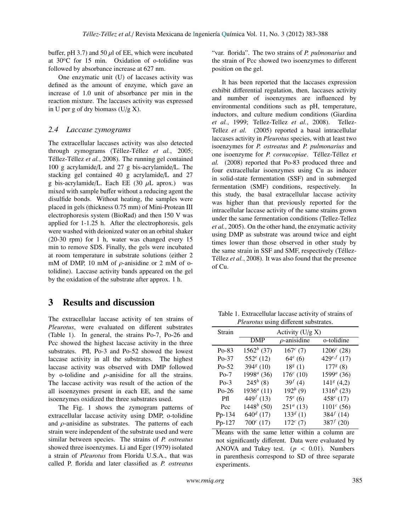buffer, pH 3.7) and 50  $\mu$ l of EE, which were incubated at 30oC for 15 min. Oxidation of o-tolidine was followed by absorbance increase at 627 nm.

One enzymatic unit (U) of laccases activity was defined as the amount of enzyme, which gave an increase of 1.0 unit of absorbance per min in the reaction mixture. The laccases activity was expressed in U per g of dry biomass  $(U/g X)$ .

#### *2.4 Laccase zymograms*

The extracellular laccases activity was also detected through zymograms (Téllez-Téllez et al., 2005; Téllez-Téllez et al., 2008). The running gel contained 100 g acrylamide/L and 27 g bis-acrylamide/L. The stacking gel contained 40 g acrylamide/L and 27 g bis-acrylamide/L. Each EE (30  $\mu$ L aprox.) was mixed with sample buffer without a reducing agent the disulfide bonds. Without heating, the samples were placed in gels (thickness 0.75 mm) of Mini-Protean III electrophoresis system (BioRad) and then 150 V was applied for 1-1.25 h. After the electrophoresis, gels were washed with deionized water on an orbital shaker (20-30 rpm) for 1 h, water was changed every 15 min to remove SDS. Finally, the gels were incubated at room temperature in substrate solutions (either 2 mM of DMP, 10 mM of  $\rho$ -anisidine or 2 mM of otolidine). Laccase activity bands appeared on the gel by the oxidation of the substrate after approx. 1 h.

# 3 Results and discussion

The extracellular laccase activity of ten strains of *Pleurotus*, were evaluated on different substrates (Table 1). In general, the strains Po-7, Po-26 and Pcc showed the highest laccase activity in the three substrates. Pfl, Po-3 and Po-52 showed the lowest laccase activity in all the substrates. The highest laccase activity was observed with DMP followed by o-tolidine and  $\rho$ -anisidine for all the strains. The laccase activity was result of the action of the all isoenzymes present in each EE, and the same isoenzymes oxidized the three substrates used.

The Fig. 1 shows the zymogram patterns of extracellular laccase activity using DMP, o-tolidine and  $\rho$ -anisidine as substrates. The patterns of each strain were independent of the substrate used and were similar between species. The strains of *P. ostreatus* showed three isoenzymes. Li and Eger (1979) isolated a strain of *Pleurotus* from Florida U.S.A., that was called P. florida and later classified as *P. ostreatus* "var. florida". The two strains of *P. pulmonarius* and the strain of Pcc showed two isoenzymes to different position on the gel.

It has been reported that the laccases expression exhibit differential regulation, then, laccases activity and number of isoenzymes are influenced by environmental conditions such as pH, temperature, inductors, and culture medium conditions (Giardina *et al.*, 1999; Tellez-Tellez *et al.*, 2008). Tellez-Tellez *et al.* (2005) reported a basal intracellular laccases activity in *Pleurotus* species, with at least two isoenzymes for *P. ostreatus* and *P. pulmonarius* and one isoenzyme for *P. cornucopiae*. Téllez-Téllez et *al.* (2008) reported that Po-83 produced three and four extracellular isoenzymes using Cu as inducer in solid-state fermentation (SSF) and in submerged fermentation (SMF) conditions, respectively. In this study, the basal extracellular laccase activity was higher than that previously reported for the intracellular laccase activity of the same strains grown under the same fermentation conditions (Tellez-Tellez *et al.*, 2005). On the other hand, the enzymatic activity using DMP as substrate was around twice and eight times lower than those observed in other study by the same strain in SSF and SMF, respectively (Téllez-Téllez et al., 2008). It was also found that the presence of Cu.

Table 1. Extracellular laccase activity of strains of *Pleurotus* using different substrates.

| Strain  | Activity $(U/g X)$                 |                   |                         |
|---------|------------------------------------|-------------------|-------------------------|
|         | <b>DMP</b>                         | $\rho$ -anisidine | o-tolidine              |
| $Po-83$ | $1562^b$ (37)                      | $167^c$ (7)       | $1206^c$ (28)           |
| $Po-37$ | $552^e$ (12)                       | $64^e(6)$         | 429 <sup>e,f</sup> (17) |
| $Po-52$ | 394 $s(10)$                        | $18g$ (1)         | $177g$ (8)              |
| $Po-7$  | $1998^a$ (36)                      | $176^c$ (10)      | $1599^a(36)$            |
| $Po-3$  | $245^h(8)$                         | $39^{f}(4)$       | $141g$ (4,2)            |
| $Po-26$ | $1936^a$ (11)                      | $192^{b} (9)$     | $1316^{b}$ (23)         |
| Pfl     | 449 <sup><math>f</math></sup> (13) | $75^e(6)$         | 458 $^{e}$ (17)         |
| Pcc     | $1448^b$ (50)                      | $251^a$ (13)      | $1101^c$ (56)           |
| Pp-134  | $640^d$ (17)                       | $133^d$ (1)       | $384^{f}$ (14)          |
| Pp-127  | $700^c$ (17)                       | $172^{c} (7)$     | $387^{f}$ (20)          |

Means with the same letter within a column are not significantly different. Data were evaluated by ANOVA and Tukey test.  $(p < 0.01)$ . Numbers in parenthesis correspond to SD of three separate experiments.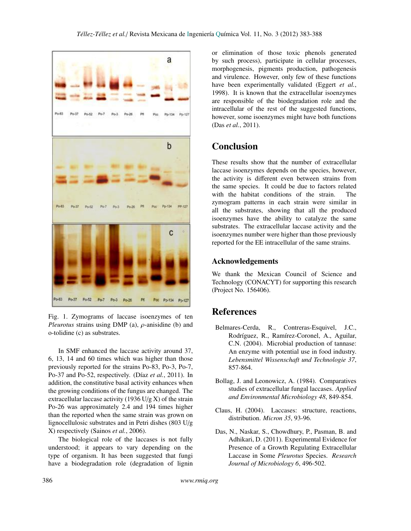

Fig. 1. Zymograms of laccase isoenzymes of ten *Pleurotus* strains using DMP (a), ρ-anisidine (b) and o-tolidine (c) as substrates.

In SMF enhanced the laccase activity around 37, 6, 13, 14 and 60 times which was higher than those previously reported for the strains Po-83, Po-3, Po-7, Po-37 and Po-52, respectively. (Díaz *et al.*, 2011). In addition, the constitutive basal activity enhances when the growing conditions of the fungus are changed. The extracellular laccase activity (1936 U/g X) of the strain Po-26 was approximately 2.4 and 194 times higher than the reported when the same strain was grown on lignocellulosic substrates and in Petri dishes (803 U/g X) respectively (Sainos *et al.*, 2006).

The biological role of the laccases is not fully understood; it appears to vary depending on the type of organism. It has been suggested that fungi have a biodegradation role (degradation of lignin

or elimination of those toxic phenols generated by such process), participate in cellular processes, morphogenesis, pigments production, pathogenesis and virulence. However, only few of these functions have been experimentally validated (Eggert *et al.*, 1998). It is known that the extracellular isoenzymes are responsible of the biodegradation role and the intracellular of the rest of the suggested functions, however, some isoenzymes might have both functions (Das *et al.*, 2011).

# Conclusion

These results show that the number of extracellular laccase isoenzymes depends on the species, however, the activity is different even between strains from the same species. It could be due to factors related with the habitat conditions of the strain. The zymogram patterns in each strain were similar in all the substrates, showing that all the produced isoenzymes have the ability to catalyze the same substrates. The extracellular laccase activity and the isoenzymes number were higher than those previously reported for the EE intracellular of the same strains.

## Acknowledgements

We thank the Mexican Council of Science and Technology (CONACYT) for supporting this research (Project No. 156406).

# References

- Belmares-Cerda, R., Contreras-Esquivel, J.C., Rodríguez, R., Ramírez-Coronel, A., Aguilar, C.N. (2004). Microbial production of tannase: An enzyme with potential use in food industry. *Lebensmittel Wissenschaft und Technologie 37*, 857-864.
- Bollag, J. and Leonowicz, A. (1984). Comparatives studies of extracellular fungal laccases. *Applied and Environmental Microbiology 48*, 849-854.
- Claus, H. (2004). Laccases: structure, reactions, distribution. *Micron 35*, 93-96.
- Presence of a Growth Regulating Extracellular Das, N., Naskar, S., Chowdhury, P., Pasman, B. and Adhikari, D. (2011). Experimental Evidence for Laccase in Some *Pleurotus* Species. *Research Journal of Microbiology 6*, 496-502.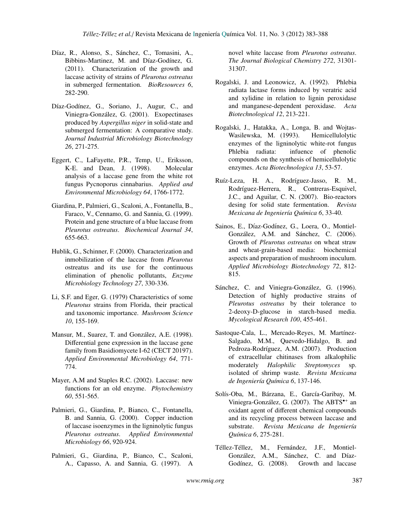- Díaz, R., Alonso, S., Sánchez, C., Tomasini, A., Bibbins-Martinez, M. and Díaz-Godínez, G. (2011). Characterization of the growth and laccase activity of strains of *Pleurotus ostreatus* in submerged fermentation. *BioResources 6*, 282-290.
- Díaz-Godínez, G., Soriano, J., Augur, C., and Viniegra-Gonzalez, G. (2001). Exopectinases ´ produced by *Aspergillus niger* in solid-state and submerged fermentation: A comparative study. *Journal Industrial Microbiology Biotechnology 26*, 271-275.
- Eggert, C., LaFayette, P.R., Temp, U., Eriksson, K-E. and Dean, J. (1998). Molecular analysis of a laccase gene from the white rot fungus Pycnoporus cinnabarius. *Applied and Environmental Microbiology 64*, 1766-1772.
- Giardina, P., Palmieri, G., Scaloni, A., Fontanella, B., Faraco, V., Cennamo, G. and Sannia, G. (1999). Protein and gene structure of a blue laccase from *Pleurotus ostreatus*. *Biochemical Journal 34*, 655-663.
- Hublik, G., Schinner, F. (2000). Characterization and inmobilization of the laccase from *Pleurotus* ostreatus and its use for the continuous elimination of phenolic pollutants, *Enzyme Microbiology Technology 27*, 330-336.
- Li, S.F. and Eger, G. (1979) Characteristics of some *Pleurotus* strains from Florida, their practical and taxonomic importance. *Mushroom Science 10*, 155-169.
- Mansur, M., Suarez, T. and González, A.E. (1998). Differential gene expression in the laccase gene family from Basidiomycete I-62 (CECT 20197). *Applied Environmental Microbiology 64*, 771- 774.
- Mayer, A.M and Staples R.C. (2002). Laccase: new functions for an old enzyme. *Phytochemistry 60*, 551-565.
- Palmieri, G., Giardina, P., Bianco, C., Fontanella, B. and Sannia, G. (2000). Copper induction of laccase isoenzymes in the ligninolytic fungus *Pleurotus ostreatus*. *Applied Environmental Microbiology 66*, 920-924.
- Palmieri, G., Giardina, P., Bianco, C., Scaloni, A., Capasso, A. and Sannia, G. (1997). A

novel white laccase from *Pleurotus ostreatus*. *The Journal Biological Chemistry 272*, 31301- 31307.

- Rogalski, J. and Leonowicz, A. (1992). Phlebia radiata lactase forms induced by veratric acid and xylidine in relation to lignin peroxidase and manganese-dependent peroxidase. *Acta Biotechnological 12*, 213-221.
- Rogalski, J., Hatakka, A., Longa, B. and Wojtas-Wasilewska, M. (1993). Hemicellulolytic enzymes of the ligninolytic white-rot fungus Phlebia radiata: infuence of phenolic compounds on the synthesis of hemicellulolytic enzymes. *Acta Biotechnologica 13*, 53-57.
- Ruíz-Leza, H. A., Rodríguez-Jasso, R. M., Rodríguez-Herrera, R., Contreras-Esquivel, J.C., and Aguilar, C. N. (2007). Bio-reactors desing for solid state fermentation. *Revista Mexicana de Ingenier´ıa Qu´ımica 6*, 33-40.
- Sainos, E., Díaz-Godínez, G., Loera, O., Montiel-González, A.M. and Sánchez, C. (2006). Growth of *Pleurotus ostreatus* on wheat straw and wheat-grain-based media: biochemical aspects and preparation of mushroom inoculum. *Applied Microbiology Biotechnology 72*, 812- 815.
- Sánchez, C. and Viniegra-González, G. (1996). Detection of highly productive strains of *Pleurotus ostreatus* by their tolerance to 2-deoxy-D-glucose in starch-based media. *Mycological Research 100*, 455-461.
- Sastoque-Cala, L., Mercado-Reyes, M. Martínez-Salgado, M.M., Quevedo-Hidalgo, B. and Pedroza-Rodríguez, A.M. (2007). Production of extracellular chitinases from alkalophilic moderately *Halophilic Streptomyces* sp. isolated of shrimp waste. *Revista Mexicana de Ingenier´ıa Qu´ımica 6*, 137-146.
- Solís-Oba, M., Bárzana, E., García-Garibay, M. Viniegra-González, G. (2007). The ABTS<sup>\*+</sup> an oxidant agent of different chemical compounds and its recycling process between laccase and substrate. *Revista Mexicana de Ingeniería Qu´ımica 6*, 275-281.
- Téllez-Téllez, M., Fernández, J.F., Montiel-González, A.M., Sánchez, C. and Díaz-Godínez, G. (2008). Growth and laccase